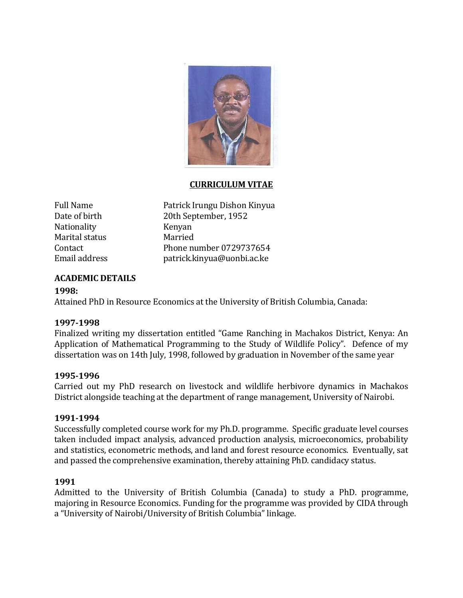

### **CURRICULUM VITAE**

Nationality Kenyan Marital status<br>Contact

Full Name Patrick Irungu Dishon Kinyua<br>Date of birth 20th September, 1952 20th September, 1952<br>Kenyan Contact Phone number 0729737654<br>Email address patrick.kinvua@uonbi.ac.ke patrick.kinyua@uonbi.ac.ke

# **ACADEMIC DETAILS**

### **1998:**

Attained PhD in Resource Economics at the University of British Columbia, Canada:

### **1997-1998**

Finalized writing my dissertation entitled "Game Ranching in Machakos District, Kenya: An Application of Mathematical Programming to the Study of Wildlife Policy". Defence of my dissertation was on 14th July, 1998, followed by graduation in November of the same year

### **1995-1996**

Carried out my PhD research on livestock and wildlife herbivore dynamics in Machakos District alongside teaching at the department of range management, University of Nairobi.

#### **1991-1994**

Successfully completed course work for my Ph.D. programme. Specific graduate level courses taken included impact analysis, advanced production analysis, microeconomics, probability and statistics, econometric methods, and land and forest resource economics. Eventually, sat and passed the comprehensive examination, thereby attaining PhD. candidacy status.

### **1991**

Admitted to the University of British Columbia (Canada) to study a PhD. programme, majoring in Resource Economics. Funding for the programme was provided by CIDA through a "University of Nairobi/University of British Columbia" linkage.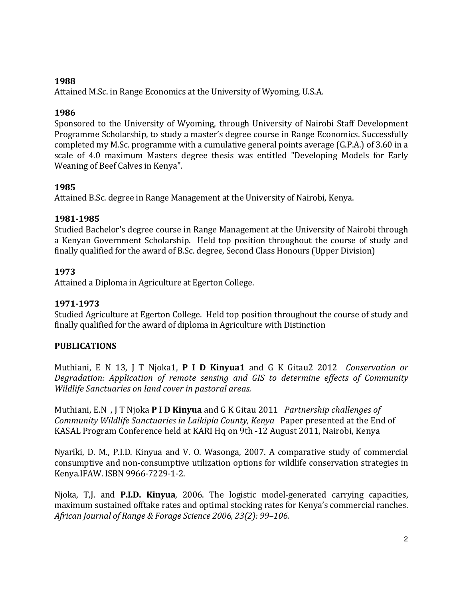### **1988**

Attained M.Sc. in Range Economics at the University of Wyoming, U.S.A.

## **1986**

Sponsored to the University of Wyoming, through University of Nairobi Staff Development Programme Scholarship, to study a master's degree course in Range Economics. Successfully completed my M.Sc. programme with a cumulative general points average (G.P.A.) of 3.60 in a scale of 4.0 maximum Masters degree thesis was entitled "Developing Models for Early Weaning of Beef Calves in Kenya".

## **1985**

Attained B.Sc. degree in Range Management at the University of Nairobi, Kenya.

## **1981-1985**

Studied Bachelor's degree course in Range Management at the University of Nairobi through a Kenyan Government Scholarship. Held top position throughout the course of study and finally qualified for the award of B.Sc. degree, Second Class Honours (Upper Division)

## **1973**

Attained a Diploma in Agriculture at Egerton College.

# **1971-1973**

Studied Agriculture at Egerton College. Held top position throughout the course of study and finally qualified for the award of diploma in Agriculture with Distinction

# **PUBLICATIONS**

Muthiani, E N 13, J T Njoka1, **P I D Kinyua1** and G K Gitau2 2012 *Conservation or Degradation: Application of remote sensing and GIS to determine effects of Community Wildlife Sanctuaries on land cover in pastoral areas.*

Muthiani, E.N , J T Njoka **P I D Kinyua** and G K Gitau 2011 *Partnership challenges of Community Wildlife Sanctuaries in Laikipia County, Kenya* Paper presented at the End of KASAL Program Conference held at KARI Hq on 9th -12 August 2011, Nairobi, Kenya

Nyariki, D. M., P.I.D. Kinyua and V. O. Wasonga, 2007. A comparative study of commercial consumptive and non-consumptive utilization options for wildlife conservation strategies in Kenya.IFAW. ISBN 9966-7229-1-2.

Njoka, T,J. and **P.I.D. Kinyua**, 2006. The logistic model-generated carrying capacities, maximum sustained offtake rates and optimal stocking rates for Kenya's commercial ranches. *African Journal of Range & Forage Science 2006, 23(2): 99–106.*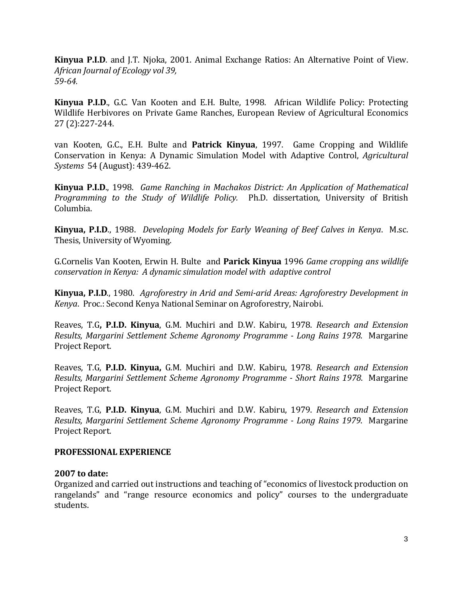**Kinyua P.I.D**. and J.T. Njoka, 2001. Animal Exchange Ratios: An Alternative Point of View. *African Journal of Ecology vol 39, 59-64.*

**Kinyua P.I.D**., G.C. Van Kooten and E.H. Bulte, 1998. African Wildlife Policy: Protecting Wildlife Herbivores on Private Game Ranches, European Review of Agricultural Economics 27 (2):227-244.

van Kooten, G.C., E.H. Bulte and **Patrick Kinyua**, 1997. Game Cropping and Wildlife Conservation in Kenya: A Dynamic Simulation Model with Adaptive Control, *Agricultural Systems* 54 (August): 439-462.

**Kinyua P.I.D**., 1998. *Game Ranching in Machakos District: An Application of Mathematical Programming to the Study of Wildlife Policy.* Ph.D. dissertation, University of British Columbia.

**Kinyua, P.I.D**., 1988. *Developing Models for Early Weaning of Beef Calves in Kenya*. M.sc. Thesis, University of Wyoming.

G.Cornelis Van Kooten, Erwin H. Bulte and **Parick Kinyua** 1996 *Game cropping ans wildlife conservation in Kenya: A dynamic simulation model with adaptive control*

**Kinyua, P.I.D**., 1980. *Agroforestry in Arid and Semi-arid Areas: Agroforestry Development in Kenya*. Proc.: Second Kenya National Seminar on Agroforestry, Nairobi.

Reaves, T.G**, P.I.D. Kinyua**, G.M. Muchiri and D.W. Kabiru, 1978. *Research and Extension Results, Margarini Settlement Scheme Agronomy Programme - Long Rains 1978*. Margarine Project Report.

Reaves, T.G, **P.I.D. Kinyua,** G.M. Muchiri and D.W. Kabiru, 1978. *Research and Extension Results, Margarini Settlement Scheme Agronomy Programme - Short Rains 1978*. Margarine Project Report.

Reaves, T.G, **P.I.D. Kinyua**, G.M. Muchiri and D.W. Kabiru, 1979. *Research and Extension Results, Margarini Settlement Scheme Agronomy Programme - Long Rains 1979*. Margarine Project Report.

### **PROFESSIONAL EXPERIENCE**

#### **2007 to date:**

Organized and carried out instructions and teaching of "economics of livestock production on rangelands" and "range resource economics and policy" courses to the undergraduate students.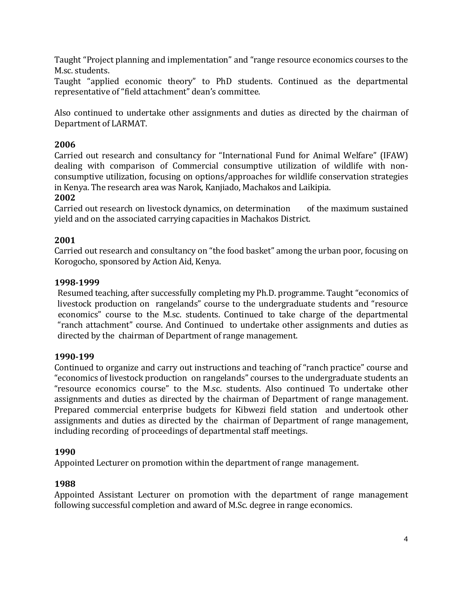Taught "Project planning and implementation" and "range resource economics courses to the M.sc. students.

Taught "applied economic theory" to PhD students. Continued as the departmental representative of "field attachment" dean's committee.

Also continued to undertake other assignments and duties as directed by the chairman of Department of LARMAT.

# **2006**

Carried out research and consultancy for "International Fund for Animal Welfare" (IFAW) dealing with comparison of Commercial consumptive utilization of wildlife with nonconsumptive utilization, focusing on options/approaches for wildlife conservation strategies in Kenya. The research area was Narok, Kanjiado, Machakos and Laikipia.

### **2002**

Carried out research on livestock dynamics, on determination of the maximum sustained yield and on the associated carrying capacities in Machakos District.

### **2001**

Carried out research and consultancy on "the food basket" among the urban poor, focusing on Korogocho, sponsored by Action Aid, Kenya.

### **1998-1999**

Resumed teaching, after successfully completing my Ph.D. programme. Taught "economics of livestock production on rangelands" course to the undergraduate students and "resource economics" course to the M.sc. students. Continued to take charge of the departmental "ranch attachment" course. And Continued to undertake other assignments and duties as directed by the chairman of Department of range management.

### **1990-199**

Continued to organize and carry out instructions and teaching of "ranch practice" course and "economics of livestock production on rangelands" courses to the undergraduate students an "resource economics course" to the M.sc. students. Also continued To undertake other assignments and duties as directed by the chairman of Department of range management. Prepared commercial enterprise budgets for Kibwezi field station and undertook other assignments and duties as directed by the chairman of Department of range management, including recording of proceedings of departmental staff meetings.

### **1990**

Appointed Lecturer on promotion within the department of range management.

### **1988**

Appointed Assistant Lecturer on promotion with the department of range management following successful completion and award of M.Sc. degree in range economics.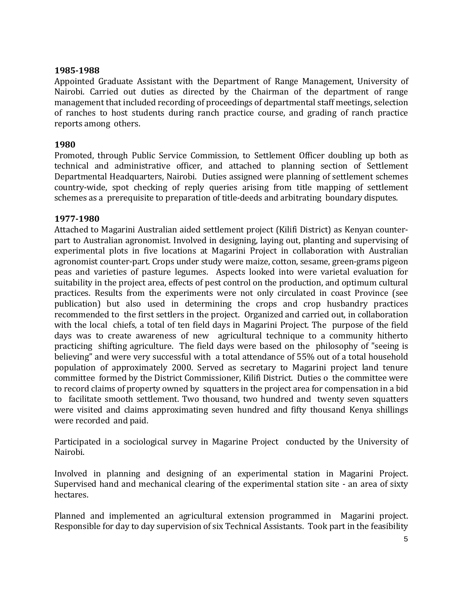#### **1985-1988**

Appointed Graduate Assistant with the Department of Range Management, University of Nairobi. Carried out duties as directed by the Chairman of the department of range management that included recording of proceedings of departmental staff meetings, selection of ranches to host students during ranch practice course, and grading of ranch practice reports among others.

### **1980**

Promoted, through Public Service Commission, to Settlement Officer doubling up both as technical and administrative officer, and attached to planning section of Settlement Departmental Headquarters, Nairobi. Duties assigned were planning of settlement schemes country-wide, spot checking of reply queries arising from title mapping of settlement schemes as a prerequisite to preparation of title-deeds and arbitrating boundary disputes.

#### **1977-1980**

Attached to Magarini Australian aided settlement project (Kilifi District) as Kenyan counterpart to Australian agronomist. Involved in designing, laying out, planting and supervising of experimental plots in five locations at Magarini Project in collaboration with Australian agronomist counter-part. Crops under study were maize, cotton, sesame, green-grams pigeon peas and varieties of pasture legumes. Aspects looked into were varietal evaluation for suitability in the project area, effects of pest control on the production, and optimum cultural practices. Results from the experiments were not only circulated in coast Province (see publication) but also used in determining the crops and crop husbandry practices recommended to the first settlers in the project. Organized and carried out, in collaboration with the local chiefs, a total of ten field days in Magarini Project. The purpose of the field days was to create awareness of new agricultural technique to a community hitherto practicing shifting agriculture. The field days were based on the philosophy of "seeing is believing" and were very successful with a total attendance of 55% out of a total household population of approximately 2000. Served as secretary to Magarini project land tenure committee formed by the District Commissioner, Kilifi District. Duties o the committee were to record claims of property owned by squatters in the project area for compensation in a bid to facilitate smooth settlement. Two thousand, two hundred and twenty seven squatters were visited and claims approximating seven hundred and fifty thousand Kenya shillings were recorded and paid.

Participated in a sociological survey in Magarine Project conducted by the University of Nairobi.

Involved in planning and designing of an experimental station in Magarini Project. Supervised hand and mechanical clearing of the experimental station site - an area of sixty hectares.

Planned and implemented an agricultural extension programmed in Magarini project. Responsible for day to day supervision of six Technical Assistants. Took part in the feasibility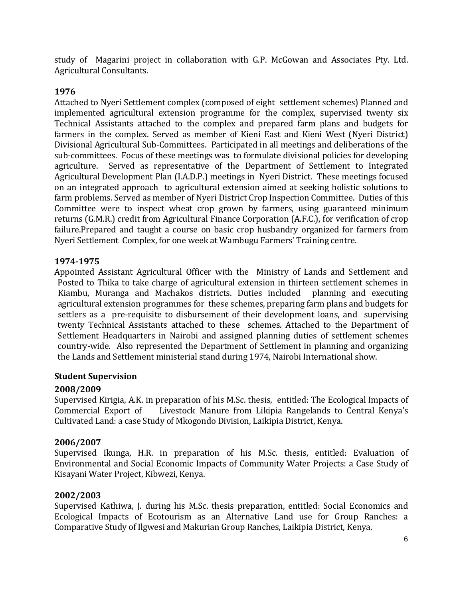study of Magarini project in collaboration with G.P. McGowan and Associates Pty. Ltd. Agricultural Consultants.

# **1976**

Attached to Nyeri Settlement complex (composed of eight settlement schemes) Planned and implemented agricultural extension programme for the complex, supervised twenty six Technical Assistants attached to the complex and prepared farm plans and budgets for farmers in the complex. Served as member of Kieni East and Kieni West (Nyeri District) Divisional Agricultural Sub-Committees. Participated in all meetings and deliberations of the sub-committees. Focus of these meetings was to formulate divisional policies for developing agriculture. Served as representative of the Department of Settlement to Integrated Agricultural Development Plan (I.A.D.P.) meetings in Nyeri District. These meetings focused on an integrated approach to agricultural extension aimed at seeking holistic solutions to farm problems. Served as member of Nyeri District Crop Inspection Committee. Duties of this Committee were to inspect wheat crop grown by farmers, using guaranteed minimum returns (G.M.R.) credit from Agricultural Finance Corporation (A.F.C.), for verification of crop failure.Prepared and taught a course on basic crop husbandry organized for farmers from Nyeri Settlement Complex, for one week at Wambugu Farmers' Training centre.

# **1974-1975**

Appointed Assistant Agricultural Officer with the Ministry of Lands and Settlement and Posted to Thika to take charge of agricultural extension in thirteen settlement schemes in Kiambu, Muranga and Machakos districts. Duties included planning and executing agricultural extension programmes for these schemes, preparing farm plans and budgets for settlers as a pre-requisite to disbursement of their development loans, and supervising twenty Technical Assistants attached to these schemes. Attached to the Department of Settlement Headquarters in Nairobi and assigned planning duties of settlement schemes country-wide. Also represented the Department of Settlement in planning and organizing the Lands and Settlement ministerial stand during 1974, Nairobi International show.

### **Student Supervision**

# **2008/2009**

Supervised Kirigia, A.K. in preparation of his M.Sc. thesis, entitled: The Ecological Impacts of Commercial Export of Livestock Manure from Likipia Rangelands to Central Kenya's Livestock Manure from Likipia Rangelands to Central Kenya's Cultivated Land: a case Study of Mkogondo Division, Laikipia District, Kenya.

### **2006/2007**

Supervised Ikunga, H.R. in preparation of his M.Sc. thesis, entitled: Evaluation of Environmental and Social Economic Impacts of Community Water Projects: a Case Study of Kisayani Water Project, Kibwezi, Kenya.

### **2002/2003**

Supervised Kathiwa, J. during his M.Sc. thesis preparation, entitled: Social Economics and Ecological Impacts of Ecotourism as an Alternative Land use for Group Ranches: a Comparative Study of Ilgwesi and Makurian Group Ranches, Laikipia District, Kenya.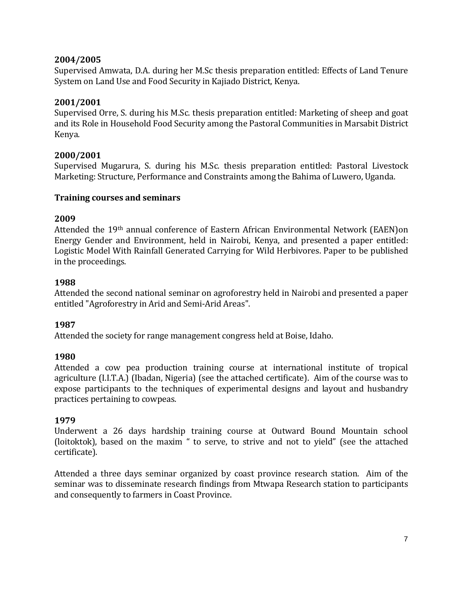## **2004/2005**

Supervised Amwata, D.A. during her M.Sc thesis preparation entitled: Effects of Land Tenure System on Land Use and Food Security in Kajiado District, Kenya.

# **2001/2001**

Supervised Orre, S. during his M.Sc. thesis preparation entitled: Marketing of sheep and goat and its Role in Household Food Security among the Pastoral Communities in Marsabit District Kenya.

### **2000/2001**

Supervised Mugarura, S. during his M.Sc. thesis preparation entitled: Pastoral Livestock Marketing: Structure, Performance and Constraints among the Bahima of Luwero, Uganda.

### **Training courses and seminars**

## **2009**

Attended the 19th annual conference of Eastern African Environmental Network (EAEN)on Energy Gender and Environment, held in Nairobi, Kenya, and presented a paper entitled: Logistic Model With Rainfall Generated Carrying for Wild Herbivores. Paper to be published in the proceedings.

## **1988**

Attended the second national seminar on agroforestry held in Nairobi and presented a paper entitled "Agroforestry in Arid and Semi-Arid Areas".

# **1987**

Attended the society for range management congress held at Boise, Idaho.

# **1980**

Attended a cow pea production training course at international institute of tropical agriculture (I.I.T.A.) (Ibadan, Nigeria) (see the attached certificate). Aim of the course was to expose participants to the techniques of experimental designs and layout and husbandry practices pertaining to cowpeas.

### **1979**

Underwent a 26 days hardship training course at Outward Bound Mountain school (loitoktok), based on the maxim " to serve, to strive and not to yield" (see the attached certificate).

Attended a three days seminar organized by coast province research station. Aim of the seminar was to disseminate research findings from Mtwapa Research station to participants and consequently to farmers in Coast Province.